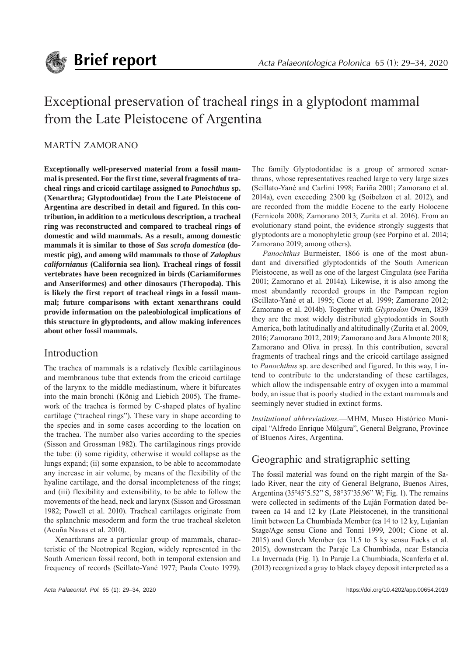

# Exceptional preservation of tracheal rings in a glyptodont mammal from the Late Pleistocene of Argentina

### MARTÍN ZAMORANO

**Exceptionally well-preserved material from a fossil mammal is presented. For the first time, several fragments of tracheal rings and cricoid cartilage assigned to** *Panochthus* **sp. (Xenarthra; Glyptodontidae) from the Late Pleistocene of Argentina are described in detail and figured. In this contribution, in addition to a meticulous description, a tracheal ring was reconstructed and compared to tracheal rings of domestic and wild mammals. As a result, among domestic mammals it is similar to those of** *Sus scrofa domestica* **(domestic pig), and among wild mammals to those of** *Zalophus californianus* **(California sea lion). Tracheal rings of fossil vertebrates have been recognized in birds (Cariamiformes and Anseriformes) and other dinosaurs (Theropoda). This is likely the first report of tracheal rings in a fossil mammal; future comparisons with extant xenarthrans could provide information on the paleobiological implications of this structure in glyptodonts, and allow making inferences about other fossil mammals.**

#### Introduction

The trachea of mammals is a relatively flexible cartilaginous and membranous tube that extends from the cricoid cartilage of the larynx to the middle mediastinum, where it bifurcates into the main bronchi (König and Liebich 2005). The framework of the trachea is formed by C-shaped plates of hyaline cartilage ("tracheal rings"). These vary in shape according to the species and in some cases according to the location on the trachea. The number also varies according to the species (Sisson and Grossman 1982). The cartilaginous rings provide the tube: (i) some rigidity, otherwise it would collapse as the lungs expand; (ii) some expansion, to be able to accommodate any increase in air volume, by means of the flexibility of the hyaline cartilage, and the dorsal incompleteness of the rings; and (iii) flexibility and extensibility, to be able to follow the movements of the head, neck and larynx (Sisson and Grossman 1982; Powell et al. 2010). Tracheal cartilages originate from the splanchnic mesoderm and form the true tracheal skeleton (Acuña Navas et al. 2010).

Xenarthrans are a particular group of mammals, characteristic of the Neotropical Region, widely represented in the South American fossil record, both in temporal extension and frequency of records (Scillato-Yané 1977; Paula Couto 1979).

The family Glyptodontidae is a group of armored xenarthrans, whose representatives reached large to very large sizes (Scillato-Yané and Carlini 1998; Fariña 2001; Zamorano et al. 2014a), even exceeding 2300 kg (Soibelzon et al. 2012), and are recorded from the middle Eocene to the early Holocene (Fernicola 2008; Zamorano 2013; Zurita et al. 2016). From an evolutionary stand point, the evidence strongly suggests that glyptodonts are a monophyletic group (see Porpino et al. 2014; Zamorano 2019; among others).

*Panochthus* Burmeister, 1866 is one of the most abundant and diversified glyptodontids of the South American Pleistocene, as well as one of the largest Cingulata (see Fariña 2001; Zamorano et al. 2014a). Likewise, it is also among the most abundantly recorded groups in the Pampean region (Scillato-Yané et al. 1995; Cione et al. 1999; Zamorano 2012; Zamorano et al. 2014b). Together with *Glyptodon* Owen, 1839 they are the most widely distributed glyptodontids in South America, both latitudinally and altitudinally (Zurita et al. 2009, 2016; Zamorano 2012, 2019; Zamorano and Jara Almonte 2018; Zamorano and Oliva in press). In this contribution, several fragments of tracheal rings and the cricoid cartilage assigned to *Panochthus* sp. are described and figured. In this way, I intend to contribute to the understanding of these cartilages, which allow the indispensable entry of oxygen into a mammal body, an issue that is poorly studied in the extant mammals and seemingly never studied in extinct forms.

*Institutional abbreviations*.—MHM, Museo Histórico Municipal "Alfredo Enrique Múlgura", General Belgrano, Province of B1uenos Aires, Argentina.

## Geographic and stratigraphic setting

The fossil material was found on the right margin of the Salado River, near the city of General Belgrano, Buenos Aires, Argentina (35°45'5.52" S, 58°37'35.96" W; Fig. 1). The remains were collected in sediments of the Luján Formation dated between ca 14 and 12 ky (Late Pleistocene), in the transitional limit between La Chumbiada Member (ca 14 to 12 ky, Lujanian Stage/Age sensu Cione and Tonni 1999, 2001; Cione et al. 2015) and Gorch Member (ca 11.5 to 5 ky sensu Fucks et al. 2015), downstream the Paraje La Chumbiada, near Estancia La Invernada (Fig. 1). In Paraje La Chumbiada, Scanferla et al. (2013) recognized a gray to black clayey deposit interpreted as a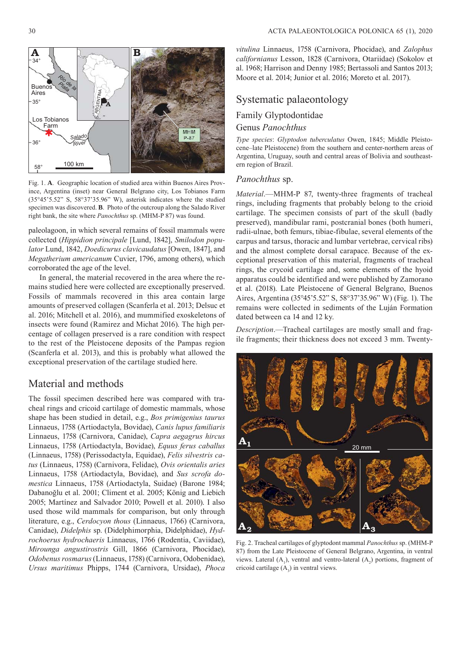

Fig. 1. **A**. Geographic location of studied area within Buenos Aires Province, Argentina (inset) near General Belgrano city, Los Tobianos Farm (35°45'5.52" S, 58°37'35.96" W), asterisk indicates where the studied specimen was discovered. **B**. Photo of the outcroup along the Salado River right bank, the site where *Panochthus* sp. (MHM-P 87) was found.

paleolagoon, in which several remains of fossil mammals were collected (*Hippidion principale* [Lund, 1842], *Smilodon populator* Lund, 1842, *Doedicurus clavicaudatus* [Owen, 1847], and *Megatherium americanum* Cuvier, 1796, among others), which corroborated the age of the level.

In general, the material recovered in the area where the remains studied here were collected are exceptionally preserved. Fossils of mammals recovered in this area contain large amounts of preserved collagen (Scanferla et al. 2013; Delsuc et al. 2016; Mitchell et al. 2016), and mummified exoskeletons of insects were found (Ramirez and Michat 2016). The high percentage of collagen preserved is a rare condition with respect to the rest of the Pleistocene deposits of the Pampas region (Scanferla et al. 2013), and this is probably what allowed the exceptional preservation of the cartilage studied here.

#### Material and methods

The fossil specimen described here was compared with tracheal rings and cricoid cartilage of domestic mammals, whose shape has been studied in detail, e.g., *Bos primigenius taurus*  Linnaeus, 1758 (Artiodactyla, Bovidae), *Canis lupus familiaris*  Linnaeus, 1758 (Carnivora, Canidae), *Capra aegagrus hircus*  Linnaeus, 1758 (Artiodactyla, Bovidae), *Equus ferus caballus*  (Linnaeus, 1758) (Perissodactyla, Equidae), *Felis silvestris catus* (Linnaeus, 1758) (Carnivora, Felidae), *Ovis orientalis aries*  Linnaeus, 1758 (Artiodactyla, Bovidae), and *Sus scrofa domestica* Linnaeus, 1758 (Artiodactyla, Suidae) (Barone 1984; Dabanoğlu et al. 2001; Climent et al. 2005; König and Liebich 2005; Martínez and Salvador 2010; Powell et al. 2010). I also used those wild mammals for comparison, but only through literature, e.g., *Cerdocyon thous* (Linnaeus, 1766) (Carnivora, Canidae), *Didelphis* sp. (Didelphimorphia, Didelphidae), *Hydrochoerus hydrochaeris Linnaeus, 1766 (Rodentia, Caviidae), Mirounga angustirostris* Gill, 1866 (Carnivora, Phocidae), *Odo benus rosmarus* (Linnaeus, 1758) (Carnivora, Odo benidae), *Ursus maritimus* Phipps, 1744 (Carnivora, Ursidae), *Phoca* 

*vitulina* Linnaeus, 1758 (Carnivora, Phocidae), and *Zalophus californianus Lesson, 1828 (Carnivora, Otariidae) (Sokolov et* al. 1968; Harrison and Denny 1985; Bertassoli and Santos 2013; Moore et al. 2014; Junior et al. 2016; Moreto et al. 2017).

#### Systematic palaeontology

#### Family Glyptodontidae Genus *Panochthus*

*Type species*: *Glyptodon tuberculatus* Owen, 1845; Middle Pleistocene–late Pleistocene) from the southern and center-northern areas of Argentina, Uruguay, south and central areas of Bolivia and southeastern region of Brazil.

#### *Panochthus* sp.

*Material*.—MHM-P 87, twenty-three fragments of tracheal rings, including fragments that probably belong to the crioid cartilage. The specimen consists of part of the skull (badly preserved), mandibular rami, postcranial bones (both humeri, radii- ulnae, both femurs, tibiae-fibulae, several elements of the carpus and tarsus, thoracic and lumbar vertebrae, cervical ribs) and the almost complete dorsal carapace. Because of the exceptional preservation of this material, fragments of tracheal rings, the crycoid cartilage and, some elements of the hyoid apparatus could be identified and were published by Zamorano et al. (2018). Late Pleistocene of General Belgrano, Buenos Aires, Argentina (35°45'5.52" S, 58°37'35.96" W) (Fig. 1). The remains were collected in sediments of the Luján Formation dated between ca 14 and 12 ky.

*Description*.—Tracheal cartilages are mostly small and fragile fragments; their thickness does not exceed 3 mm. Twenty-



Fig. 2. Tracheal cartilages of glyptodont mammal *Panochthus* sp. (MHM-P 87) from the Late Pleistocene of General Belgrano, Argentina, in ventral views. Lateral  $(A_1)$ , ventral and ventro-lateral  $(A_2)$  portions, fragment of cricoid cartilage  $(A_3)$  in ventral views.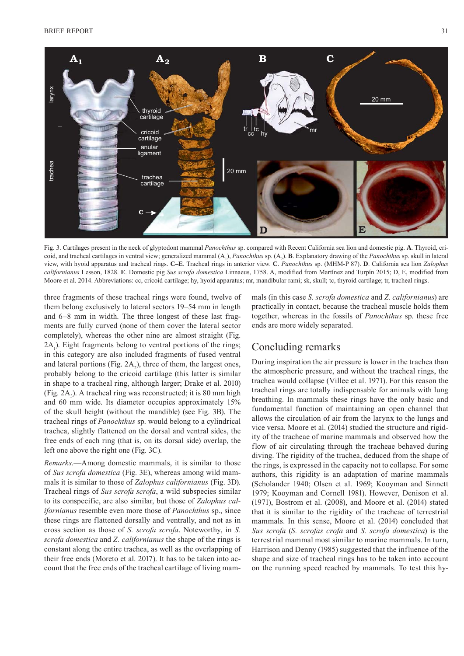

Fig. 3. Cartilages present in the neck of glyptodont mammal *Panochthus* sp. compared with Recent California sea lion and domestic pig. **A**. Thyroid, cricoid, and tracheal cartilages in ventral view; generalized mammal (A<sub>1</sub>), *Panochthus* sp. (A<sub>2</sub>). **B**. Explanatory drawing of the *Panochthus* sp. skull in lateral view, with hyoid apparatus and tracheal rings. **C–E**. Tracheal rings in anterior view. **C**. *Panochthus* sp. (MHM-P 87). **D**. California sea lion *Zalophus californianus* Lesson, 1828. **E**. Domestic pig *Sus scrofa domestica* Linnaeus, 1758. A, modified from Martínez and Turpín 2015; D, E, modified from Moore et al. 2014. Abbreviations: cc, cricoid cartilage; hy, hyoid apparatus; mr, mandibular rami; sk, skull; tc, thyroid cartilage; tr, tracheal rings.

three fragments of these tracheal rings were found, twelve of them belong exclusively to lateral sectors 19–54 mm in length and 6–8 mm in width. The three longest of these last fragments are fully curved (none of them cover the lateral sector completely), whereas the other nine are almost straight (Fig.  $2A_1$ ). Eight fragments belong to ventral portions of the rings; in this category are also included fragments of fused ventral and lateral portions (Fig.  $2A_2$ ), three of them, the largest ones, probably belong to the cricoid cartilage (this latter is similar in shape to a tracheal ring, although larger; Drake et al. 2010) (Fig.  $2A_3$ ). A tracheal ring was reconstructed; it is 80 mm high and 60 mm wide. Its diameter occupies approximately 15% of the skull height (without the mandible) (see Fig. 3B). The tracheal rings of *Panochthus* sp. would belong to a cylindrical trachea, slightly flattened on the dorsal and ventral sides, the free ends of each ring (that is, on its dorsal side) overlap, the left one above the right one (Fig. 3C).

*Remarks*.—Among domestic mammals, it is similar to those of *Sus scrofa domestica* (Fig. 3E), whereas among wild mammals it is similar to those of *Zalophus californianus* (Fig. 3D). Tracheal rings of *Sus scrofa scrofa*, a wild subspecies similar to its conspecific, are also similar, but those of *Zalophus californianus* resemble even more those of *Panochthus* sp., since these rings are flattened dorsally and ventrally, and not as in cross section as those of *S. scrofa scrofa*. Noteworthy, in *S. scrofa domestica* and *Z. californianus* the shape of the rings is constant along the entire trachea, as well as the overlapping of their free ends (Moreto et al. 2017). It has to be taken into account that the free ends of the tracheal cartilage of living mammals (in this case *S. scrofa domestica* and *Z*. *californianus*) are practically in contact, because the tracheal muscle holds them together, whereas in the fossils of *Panochthus* sp. these free ends are more widely separated.

#### Concluding remarks

During inspiration the air pressure is lower in the trachea than the atmospheric pressure, and without the tracheal rings, the trachea would collapse (Villee et al. 1971). For this reason the tracheal rings are totally indispensable for animals with lung breathing. In mammals these rings have the only basic and fundamental function of maintaining an open channel that allows the circulation of air from the larynx to the lungs and vice versa. Moore et al. (2014) studied the structure and rigidity of the tracheae of marine mammals and observed how the flow of air circulating through the tracheae behaved during diving. The rigidity of the trachea, deduced from the shape of the rings, is expressed in the capacity not to collapse. For some authors, this rigidity is an adaptation of marine mammals (Scholander 1940; Olsen et al. 1969; Kooyman and Sinnett 1979; Kooyman and Cornell 1981). However, Denison et al. (1971), Bostrom et al. (2008), and Moore et al. (2014) stated that it is similar to the rigidity of the tracheae of terrestrial mammals. In this sense, Moore et al. (2014) concluded that *Sus scrofa* (*S. scrofas crofa* and *S. scrofa domestica*) is the terrestrial mammal most similar to marine mammals. In turn, Harrison and Denny (1985) suggested that the influence of the shape and size of tracheal rings has to be taken into account on the running speed reached by mammals. To test this hy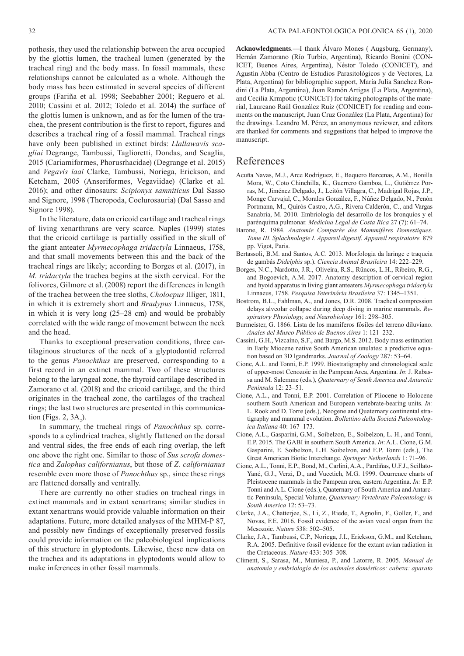Signore 1998).

pothesis, they used the relationship between the area occupied by the glottis lumen, the tracheal lumen (generated by the tracheal ring) and the body mass. In fossil mammals, these relationships cannot be calculated as a whole. Although the body mass has been estimated in several species of different groups (Fariña et al. 1998; Seebabher 2001; Reguero et al. 2010; Cassini et al. 2012; Toledo et al. 2014) the surface of the glottis lumen is unknown, and as for the lumen of the trachea, the present contribution is the first to report, figures and describes a tracheal ring of a fossil mammal. Tracheal rings have only been published in extinct birds: *Llallawavis scagliai* Degrange, Tambussi, Taglioretti, Dondas, and Scaglia, 2015 (Cariamiformes, Phorusrhacidae) (Degrange et al. 2015) and *Vegavis iaai* Clarke, Tambussi, Noriega, Erickson, and Ketcham, 2005 (Anseriformes, Vegaviidae) (Clarke et al. 2016); and other dinosaurs: *Scipionyx samniticus* Dal Sasso and Signore, 1998 (Theropoda, Coelurosauria) (Dal Sasso and

In the literature, data on cricoid cartilage and tracheal rings of living xenarthrans are very scarce. Naples (1999) states that the cricoid cartilage is partially ossified in the skull of the giant anteater *Myrmecophaga tridactyla* Linnaeus, 1758, and that small movements between this and the back of the tracheal rings are likely; according to Borges et al. (2017), in *M. tridactyla* the trachea begins at the sixth cervical. For the folivores, Gilmore et al. (2008) report the differences in length of the trachea between the tree sloths, *Choloepus* Illiger, 1811, in which it is extremely short and *Bradypus* Linnaeus, 1758, in which it is very long (25–28 cm) and would be probably correlated with the wide range of movement between the neck and the head.

Thanks to exceptional preservation conditions, three cartilaginous structures of the neck of a glyptodontid referred to the genus *Panochthus* are preserved, corresponding to a first record in an extinct mammal. Two of these structures belong to the laryngeal zone, the thyroid cartilage described in Zamorano et al. (2018) and the cricoid cartilage, and the third originates in the tracheal zone, the cartilages of the tracheal rings; the last two structures are presented in this communication (Figs. 2,  $3A_2$ ).

In summary, the tracheal rings of *Panochthus* sp. corresponds to a cylindrical trachea, slightly flattened on the dorsal and ventral sides, the free ends of each ring overlap, the left one above the right one. Similar to those of *Sus scrofa domestica* and *Zalophus californianus*, but those of *Z. californianus*  resemble even more those of *Panochthus* sp., since these rings are flattened dorsally and ventrally.

There are currently no other studies on tracheal rings in extinct mammals and in extant xenartrans; similar studies in extant xenartrans would provide valuable information on their adaptations. Future, more detailed analyses of the MHM-P 87, and possibly new findings of exceptionally preserved fossils could provide information on the paleobiological implications of this structure in glyptodonts. Likewise, these new data on the trachea and its adaptations in glyptodonts would allow to make inferences in other fossil mammals.

**Acknowledgments**.—I thank Álvaro Mones ( Augsburg, Germany), Hernán Zamorano (Río Turbio, Argentina), Ricardo Bonini (CON-ICET, Buenos Aires, Argentina), Néstor Toledo (CONICET), and Agustín Abba (Centro de Estudios Parasitológicos y de Vectores, La Plata, Argentina) for bibliographic support, María Julia Sanchez Rondini (La Plata, Argentina), Juan Ramón Artigas (La Plata, Argentina), and Cecilia Krmpotic (CONICET) for taking photographs of the material, Laureano Raúl González Ruíz (CONICET) for reading and comments on the manuscript, Juan Cruz González (La Plata, Argentina) for the drawings. Leandro M. Pérez, an anonymous reviewer, and editors are thanked for comments and suggestions that helped to improve the manuscript.

#### References

- Acuña Navas, M.J., Arce Rodríguez, E., Baquero Barcenas, A.M., Bonilla Mora, W., Coto Chinchilla, K., Guerrero Gamboa, L., Gutiérrez Porras, M., Jiménez Delgado, J., Leitón Villagra, C., Madrigal Rojas, J.P., Monge Carvajal, C., Morales González, F., Núñez Delgado, N., Penón Portmann, M., Quirós Castro, A.G., Rivera Calderón, C., and Vargas Sanabria, M. 2010. Embriología del desarrollo de los bronquios y el parénquima pulmonar. *Medicina Legal de Costa Rica* 27 (7): 61–74.
- Barone, R. 1984. *Anatomie Comparée des Mammifères Domestiques. Tome III. Splachnologie I. Appareil digestif. Appareil respiratoire.* 879 pp. Vigot, Paris.
- Bertassoli, B.M. and Santos, A.C. 2013. Morfologia da laringe e traqueia de gambás *Didelphis* sp.). *Ciencia Animal Brasileira* 14: 222–229.
- Borges, N.C., Nardotto, J.R., Oliveira, R.S., Rüncos, L.H., Ribeiro, R.G., and Bogoevich, A.M. 2017. Anatomy description of cervical region and hyoid apparatus in living giant anteaters *Myrmecophaga tridactyla* Linnaeus, 1758. *Pesquisa Veterinária Brasileira* 37: 1345–1351.
- Bostrom, B.L., Fahlman, A., and Jones, D.R. 2008. Tracheal compression delays alveolar collapse during deep diving in marine mammals. *Respiratory Physiology, and Neurobiology* 161: 298–305.
- Burmeister, G. 1866. Lista de los mamíferos fósiles del terreno diluviano. *Anales del Museo Público de Buenos Aires* 1: 121–232.
- Cassini, G.H., Vizcaíno, S.F., and Bargo, M.S. 2012. Body mass estimation in Early Miocene native South American unulates: a predictive equation based on 3D lgandmarks. *Journal of Zoology* 287: 53–64.
- Cione, A.L. and Tonni, E.P. 1999. Biostratigraphy and chronological scale of upper-most Cenozoic in the Pampean Area, Argentina. *In*: J. Rabassa and M. Salemme (eds.), *Quaternary of South America and Antarctic Peninsula* 12: 23–51.
- Cione, A.L., and Tonni, E.P. 2001. Correlation of Pliocene to Holocene southern South American and European vertebrate-bearing units. *In:*  L. Rook and D. Torre (eds.), Neogene and Quaternary continental stratigraphy and mammal evolution. *Bollettino della Societá Paleontologica Italiana* 40: 167–173.
- Cione, A.L., Gasparini, G.M., Soibelzon, E., Soibelzon, L. H., and Tonni, E.P. 2015. The GABI in southern South America. *In*: A.L. Cione, G.M. Gasparini, E. Soibelzon, L.H. Soibelzon, and E.P. Tonni (eds.), The Great American Biotic Interchange. *Springer Netherlands* 1: 71–96.
- Cione, A.L., Tonni, E.P., Bond, M., Carlini, A.A., Pardiñas, U.F.J., Scillato-Yané, G.J., Verzi, D., and Vucetich, M.G. 1999. Ocurrence charts of Pleistocene mammals in the Pampean area, eastern Argentina. *In:* E.P. Tonni and A.L. Cione (eds.), Quaternary of South America and Antarctic Peninsula, Special Volume, *Quaternary Vertebrate Paleontology in South America* 12: 53–73.
- Clarke, J.A., Chatterjee, S., Li, Z., Riede, T., Agnolin, F., Goller, F., and Novas, F.E. 2016. Fossil evidence of the avian vocal organ from the Mesozoic. *Nature* 538: 502–505.
- Clarke, J.A., Tambussi, C.P., Noriega, J.I., Erickson, G.M., and Ketcham, R.A. 2005. Definitive fossil evidence for the extant avian radiation in the Cretaceous. *Nature* 433: 305–308.
- Climent, S., Sarasa, M., Muniesa, P., and Latorre, R. 2005. *Manual de anatomía y embriología de los animales domésticos: cabeza: aparato*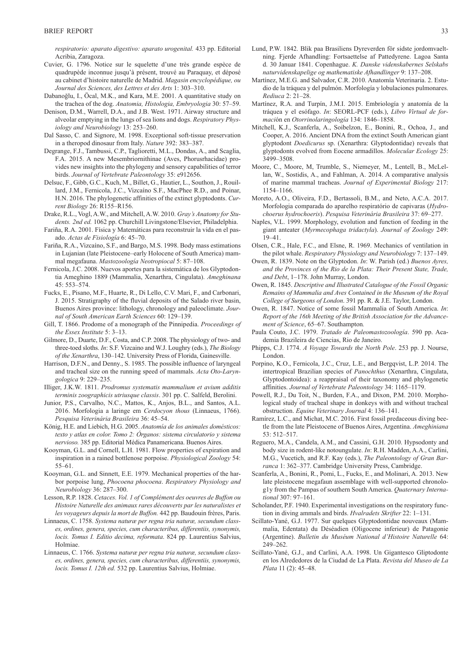*respiratorio: aparato digestivo: aparato urogenital.* 433 pp. Editorial Acribia, Zaragoza.

- Cuvier, G. 1796. Notice sur le squelette d'une très grande espèce de quadrupède inconnue jusqu'à présent, trouvé au Paraquay, et déposé au cabinet d'histoire naturelle de Madrid. *Magasin encyclopédique, ou Journal des Sciences, des Lettres et des Arts* 1: 303–310.
- Dabanoğlu, I., Öcal, M.K., and Kara, M.E. 2001. A quantitative study on the trachea of the dog. *Anatomia, Histologia, Embryologia* 30: 57–59.
- Denison, D.M., Warrell, D.A., and J.B. West. 1971. Airway structure and alveolar emptying in the lungs of sea lions and dogs. *Respiratory Physiology and Neurobiology* 13: 253–260.
- Dal Sasso, C. and Signore, M. 1998. Exceptional soft-tissue preservation in a theropod dinosaur from Italy. *Nature* 392: 383–387.
- Degrange, F.J., Tambussi, C.P., Taglioretti, M.L., Dondas, A., and Scaglia, F.A. 2015. A new Mesembriornithinae (Aves, Phorusrhacidae) provides new insights into the phylogeny and sensory capabilities of terror birds. *Journal of Vertebrate Paleontology* 35: e912656.
- Delsuc, F., Gibb, G.C., Kuch, M., Billet, G., Hautier, L., Southon, J., Rouillard, J.M., Fernicola, J.C., Vizcaíno S.F., MacPhee R.D., and Poinar, H.N. 2016. The phylogenetic affinities of the extinct glyptodonts. *Current Biology* 26: R155–R156.
- Drake, R.L., Vogl, A.W., and Mitchell, A.W. 2010. *Gray's Anatomy for Students. 2nd ed.* 1062 pp. Churchill Livingstone/Elsevier, Philadelphia.
- Fariña, R.A. 2001. Física y Matemáticas para reconstruir la vida en el pasado. *Actas de Fisiología* 6: 45–70.
- Fariña, R.A., Vizcaíno, S.F., and Bargo, M.S. 1998. Body mass estimations in Lujanian (late Pleistocene–early Holocene of South America) mammal megafauna. *Mastozoología Neotropiocal* 5: 87–108.
- Fernicola, J.C. 2008. Nuevos aportes para la sistemática de los Glyptodontia Ameghino 1889 (Mammalia, Xenarthra, Cingulata). *Ameghinana*  45: 553–574.
- Fucks, E., Pisano, M.F., Huarte, R., Di Lello, C.V. Mari, F., and Carbonari, J. 2015. Stratigraphy of the fluvial deposits of the Salado river basin, Buenos Aires province: lithology, chronology and paleoclimate. *Journal of South American Earth Sciences* 60: 129–139.
- Gill, T. 1866. Prodome of a monograph of the Pinnipedia. *Proceedings of the Essex Institute* 5: 3–13.
- Gilmore, D., Duarte, D.F., Costa, and C.P. 2008. The physiology of two- and three-toed sloths. *In*: S.F. Vizcaino and W.J. Loughry (eds.), *The Biology of the Xenarthra*, 130–142. University Press of Florida, Gainesville.
- Harrison, D.F.N., and Denny., S. 1985. The possible influence of laryngeal and tracheal size on the running speed of mammals. *Acta Oto-Laryngologica* 9: 229–235.
- Illiger, J.K.W. 1811. *Prodromus systematis mammalium et avium additis terminis zoographicis utriusque classis*. 301 pp. C. Salfeld, Berolini.
- Junior, P.S., Carvalho, N.C., Mattos, K., Anjos, B.L., and Santos, A.L. 2016. Morfologia a laringe em *Cerdocyon thous* (Linnaeus, 1766). *Pesquisa Veterinária Brasileira* 36: 45–54.
- König, H.E. and Liebich, H.G. 2005. *Anatomía de los animales domésticos: texto y atlas en color. Tomo 2: Órganos: sistema circulatorio y sistema nervioso.* 385 pp. Editorial Médica Panamericana. Buenos Aires.
- Kooyman, G.L. and Cornell, L.H. 1981. Flow properties of expiration and inspiration in a rained bottlenose porpoise. *Physiological Zoology* 54: 55–61.
- Kooyman, G.L. and Sinnett, E.E. 1979. Mechanical properties of the harbor porpoise lung, *Phocoena phocoena*. *Respiratory Physiology and Neurobiology* 36: 287–300.
- Lesson, R.P. 1828. *Cetaces. Vol. 1 of Complément des oeuvres de Buffon ou Histoire Naturelle des animaux rares découverts par les naturalistes et les voyageurs depuis la mort de Buffon.* 442 pp. Baudouin frères, Paris.
- Linnaeus, C. 1758. *Systema naturæ per regna tria naturæ, secundum classes, ordines, genera, species, cum characteribus, differentiis, synonymis, locis. Tomus I. Editio decima, reformata*. 824 pp. Laurentius Salvius, Holmiae.
- Linnaeus, C. 1766. *Systema naturæ per regna tria naturæ, secundum classes, ordines, genera, species, cum characteribus, differentiis, synonymis, locis. Tomus I. 12th ed.* 532 pp. Laurentius Salvius, Holmiae.
- Lund, P.W. 1842. Blik paa Brasiliens Dyreverden för sidste jordomvaeltning. Fjerde Afhandling: Fortsaettelse af Pattedyrene. Lagoa Santa d. 30 Januar 1841. Copenhague. *K. Danske videnskabernes Selskabs naturvidenskapelige og mathematiske Afhandlinger* 9: 137–208.
- Martínez, M.E.G. and Salvador, C.R. 2010. Anatomía Veterinaria. 2. Estudio de la tráquea y del pulmón. Morfología y lobulaciones pulmonares. *Rediuca* 2: 21–28.
- Martínez, R.A. and Turpín, J.M.I. 2015. Embriología y anatomía de la tráquea y el esófago. *In*: SEORL-PCF (eds.), *Libro Virtual de formaci*ón en *Otorrinolaringología* 134: 1846–1858.
- Mitchell, K.J., Scanferla, A., Soibelzon, E., Bonini, R., Ochoa, J., and Cooper, A. 2016. Ancient DNA from the extinct South American giant glyptodont *Doedicurus* sp. (Xenarthra: Glyptodontidae) reveals that glyptodonts evolved from Eocene armadillos. *Molecular Ecology* 25: 3499–3508.
- Moore, C., Moore, M, Trumble, S., Niemeyer, M., Lentell, B., McLellan, W., Sostidis, A., and Fahlman, A. 2014. A comparative analysis of marine mammal tracheas. *Journal of Experimental Biology* 217: 1154–1166.
- Moreto, A.O., Oliveira, F.D., Bertassoli, B.M., and Neto, A.C.A. 2017. Morfologia comparada do aparelho respiratório de capivaras (*Hydrochoerus hydrochoeris*). *Pesquisa Veterinária Brasileira* 37: 69–277.
- Naples, V.L. 1999. Morphology, evolution and function of feeding in the giant anteater (*Myrmecophaga tridactyla*). *Journal of Zoology* 249: 19–41.
- Olsen, C.R., Hale, F.C., and Elsne, R. 1969. Mechanics of ventilation in the pilot whale. *Respiratory Physiology and Neurobiology* 7: 137–149.
- Owen, R. 1839. Note on the Glyptodon. *In*: W. Parish (ed.) *Buenos Ayres, and the Provinces of the Rio de la Plata: Their Present State, Trade, and Debt*, 1–178. John Murray, London.
- Owen, R. 1845. *Descriptive and Illustrated Catalogue of the Fossil Organic Remains of Mammalia and Aves Contained in the Museum of the Royal College of Surgeons of London*. 391 pp. R. & J.E. Taylor, London.
- Owen, R. 1847. Notice of some fossil Mammalia of South America. *In*: *Report of the 16th Meeting of the British Association for the Advancement of Science*, 65–67. Southampton*.*
- Paula Couto, J.C. 1979. *Tratado de Paleomastozoología*. 590 pp. Academia Brazileira de Ciencias, Rio de Janeiro.
- Phipps, C.J. 1774. *A Voyage Towards the North Pole*. 253 pp. J. Nourse, London.
- Porpino, K.O., Fernicola, J.C., Cruz, L.E., and Bergqvist, L.P. 2014. The intertropical Brazilian species of *Panochthus* (Xenarthra, Cingulata, Glyptodontoidea): a reappraisal of their taxonomy and phylogenetic affinities. *Journal of Vertebrate Paleontology* 34: 1165–1179.
- Powell, R.J., Du Toit, N., Burden, F.A., and Dixon, P.M. 2010. Morphological study of tracheal shape in donkeys with and without tracheal obstruction. *Equine Veterinary Journal* 4: 136–141.
- Ramírez, L.C., and Michat, M.C. 2016. First fossil predaceous diving beetle from the late Pleistocene of Buenos Aires, Argentina. *Ameghiniana*  53: 512–517.
- Reguero, M.A., Candela, A.M., and Cassini, G.H. 2010. Hypsodonty and body size in rodent-like notoungulate. *In*: R.H. Madden, A.A., Carlini, M.G., Vucetich, and R.F. Kay (eds.), *The Paleontology of Gran Barranca* 1: 362–377. Cambridge University Press, Cambridge.
- Scanferla, A., Bonini, R., Pomi, L., Fucks, E., and Molinari, A. 2013. New late pleistocene megafaun assemblage with well-supported chronolog1y from the Pampas of southern South America. *Quaternary International* 307: 97–161.
- Scholander, P.F. 1940. Experimental investigations on the respiratory function in diving ammals and birds. *Hvalradets Skrifter* 22: 1–131.
- Scillato-Yané, G.J. 1977. Sur quelques Glyptodontidae nouveaux (Mammalia, Edentata) du Déséadien (Oligocene inferieur) de Patagonie (Argentine). *Bulletin du Muséum National d'Histoire Naturelle* 64: 249–262.
- Scillato-Yané, G.J., and Carlini, A.A. 1998. Un Gigantesco Gliptodonte en los Alrededores de la Ciudad de La Plata. *Revista del Museo de La Plata* 11 (2): 45–48.